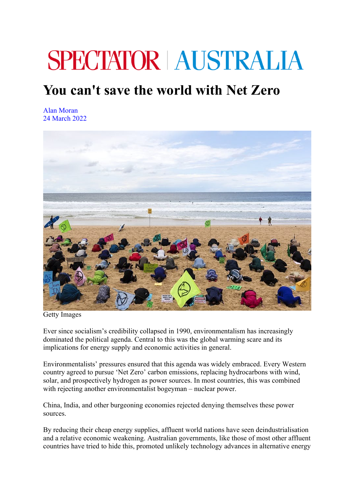## **SPECTATOR | AUSTRALIA**

## **You can't save the world with Net Zero**

Alan Moran 24 March 2022



Getty Images

Ever since socialism's credibility collapsed in 1990, environmentalism has increasingly dominated the political agenda. Central to this was the global warming scare and its implications for energy supply and economic activities in general.

Environmentalists' pressures ensured that this agenda was widely embraced. Every Western country agreed to pursue 'Net Zero' carbon emissions, replacing hydrocarbons with wind, solar, and prospectively hydrogen as power sources. In most countries, this was combined with rejecting another environmentalist bogeyman – nuclear power.

China, India, and other burgeoning economies rejected denying themselves these power sources.

By reducing their cheap energy supplies, affluent world nations have seen deindustrialisation and a relative economic weakening. Australian governments, like those of most other affluent countries have tried to hide this, promoted unlikely technology advances in alternative energy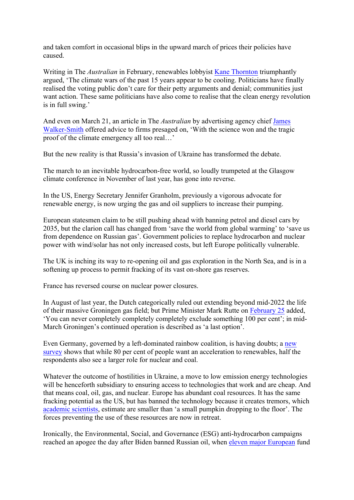and taken comfort in occasional blips in the upward march of prices their policies have caused.

Writing in The *Australian* in February, renewables lobbyist Kane Thornton triumphantly argued, 'The climate wars of the past 15 years appear to be cooling. Politicians have finally realised the voting public don't care for their petty arguments and denial; communities just want action. These same politicians have also come to realise that the clean energy revolution is in full swing.'

And even on March 21, an article in The *Australian* by advertising agency chief James Walker-Smith offered advice to firms presaged on, 'With the science won and the tragic proof of the climate emergency all too real…'

But the new reality is that Russia's invasion of Ukraine has transformed the debate.

The march to an inevitable hydrocarbon-free world, so loudly trumpeted at the Glasgow climate conference in November of last year, has gone into reverse.

In the US, Energy Secretary Jennifer Granholm, previously a vigorous advocate for renewable energy, is now urging the gas and oil suppliers to increase their pumping.

European statesmen claim to be still pushing ahead with banning petrol and diesel cars by 2035, but the clarion call has changed from 'save the world from global warming' to 'save us from dependence on Russian gas'. Government policies to replace hydrocarbon and nuclear power with wind/solar has not only increased costs, but left Europe politically vulnerable.

The UK is inching its way to re-opening oil and gas exploration in the North Sea, and is in a softening up process to permit fracking of its vast on-shore gas reserves.

France has reversed course on nuclear power closures.

In August of last year, the Dutch categorically ruled out extending beyond mid-2022 the life of their massive Groningen gas field; but Prime Minister Mark Rutte on February 25 added, 'You can never completely completely completely exclude something 100 per cent'; in mid-March Groningen's continued operation is described as 'a last option'.

Even Germany, governed by a left-dominated rainbow coalition, is having doubts; a new survey shows that while 80 per cent of people want an acceleration to renewables, half the respondents also see a larger role for nuclear and coal.

Whatever the outcome of hostilities in Ukraine, a move to low emission energy technologies will be henceforth subsidiary to ensuring access to technologies that work and are cheap. And that means coal, oil, gas, and nuclear. Europe has abundant coal resources. It has the same fracking potential as the US, but has banned the technology because it creates tremors, which academic scientists, estimate are smaller than 'a small pumpkin dropping to the floor'. The forces preventing the use of these resources are now in retreat.

Ironically, the Environmental, Social, and Governance (ESG) anti-hydrocarbon campaigns reached an apogee the day after Biden banned Russian oil, when eleven major European fund